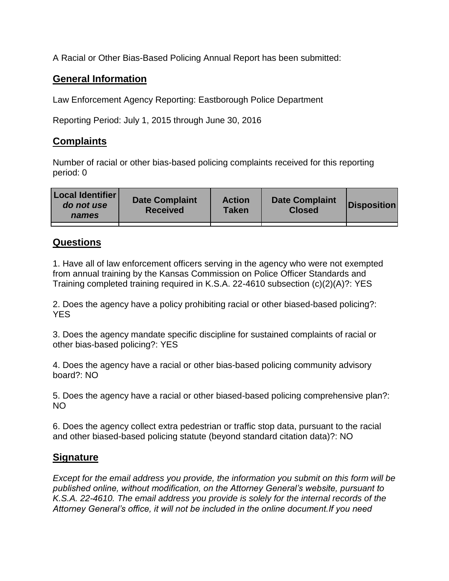A Racial or Other Bias-Based Policing Annual Report has been submitted:

## **General Information**

Law Enforcement Agency Reporting: Eastborough Police Department

Reporting Period: July 1, 2015 through June 30, 2016

## **Complaints**

Number of racial or other bias-based policing complaints received for this reporting period: 0

| <b>Local Identifier</b><br>do not use<br>names | <b>Date Complaint</b><br><b>Received</b> | <b>Action</b><br><b>Taken</b> | <b>Date Complaint</b><br><b>Closed</b> | Disposition |
|------------------------------------------------|------------------------------------------|-------------------------------|----------------------------------------|-------------|
|                                                |                                          |                               |                                        |             |

## **Questions**

1. Have all of law enforcement officers serving in the agency who were not exempted from annual training by the Kansas Commission on Police Officer Standards and Training completed training required in K.S.A. 22-4610 subsection (c)(2)(A)?: YES

2. Does the agency have a policy prohibiting racial or other biased-based policing?: YES

3. Does the agency mandate specific discipline for sustained complaints of racial or other bias-based policing?: YES

4. Does the agency have a racial or other bias-based policing community advisory board?: NO

5. Does the agency have a racial or other biased-based policing comprehensive plan?: NO

6. Does the agency collect extra pedestrian or traffic stop data, pursuant to the racial and other biased-based policing statute (beyond standard citation data)?: NO

## **Signature**

*Except for the email address you provide, the information you submit on this form will be published online, without modification, on the Attorney General's website, pursuant to K.S.A. 22-4610. The email address you provide is solely for the internal records of the Attorney General's office, it will not be included in the online document.If you need*